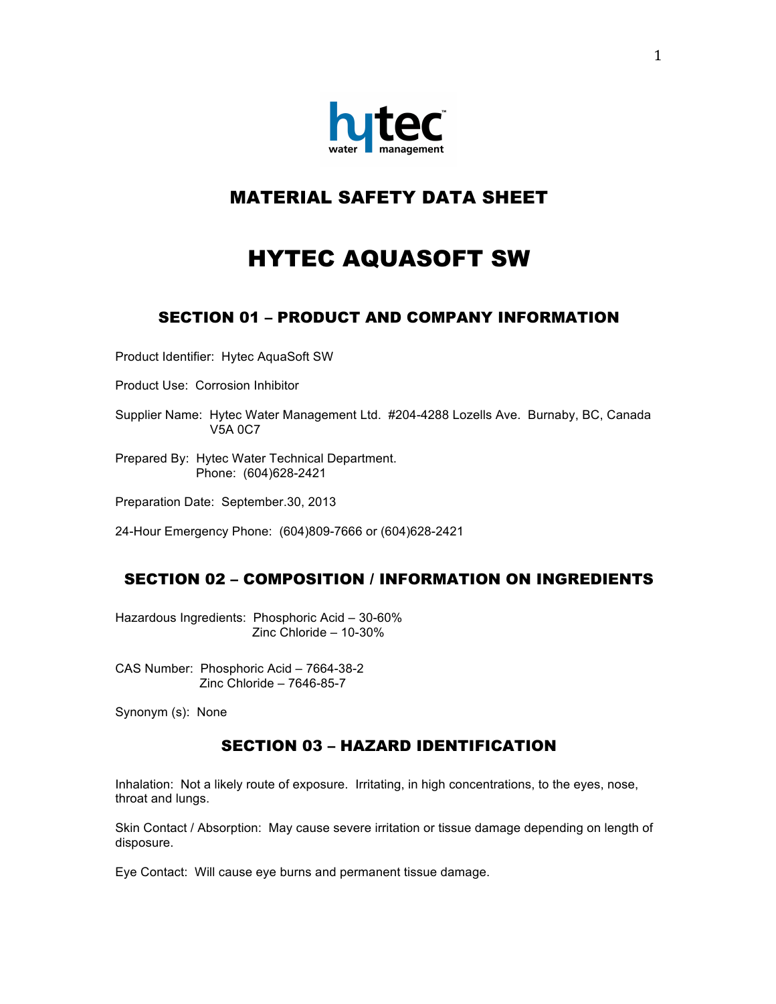

# MATERIAL SAFETY DATA SHEET

# HYTEC AQUASOFT SW

# SECTION 01 – PRODUCT AND COMPANY INFORMATION

Product Identifier: Hytec AquaSoft SW

Product Use: Corrosion Inhibitor

Supplier Name: Hytec Water Management Ltd. #204-4288 Lozells Ave. Burnaby, BC, Canada V5A 0C7

Prepared By: Hytec Water Technical Department. Phone: (604)628-2421

Preparation Date: September.30, 2013

24-Hour Emergency Phone: (604)809-7666 or (604)628-2421

## SECTION 02 – COMPOSITION / INFORMATION ON INGREDIENTS

Hazardous Ingredients: Phosphoric Acid – 30-60% Zinc Chloride – 10-30%

CAS Number: Phosphoric Acid – 7664-38-2 Zinc Chloride – 7646-85-7

Synonym (s): None

## SECTION 03 – HAZARD IDENTIFICATION

Inhalation: Not a likely route of exposure. Irritating, in high concentrations, to the eyes, nose, throat and lungs.

Skin Contact / Absorption: May cause severe irritation or tissue damage depending on length of disposure.

Eye Contact: Will cause eye burns and permanent tissue damage.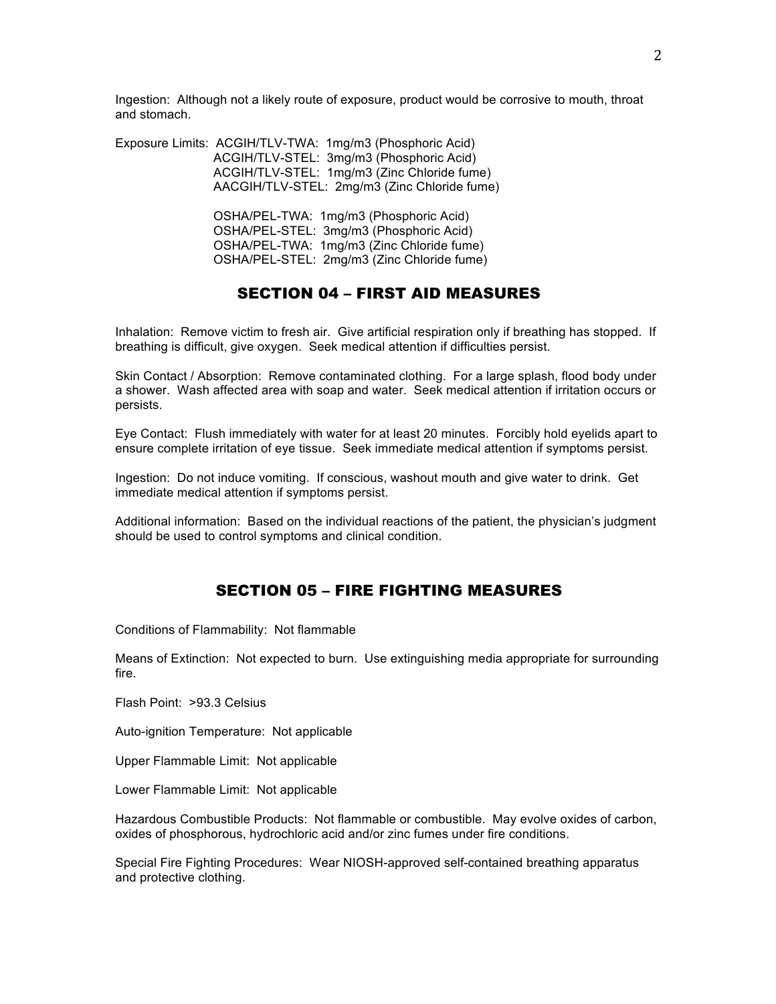Ingestion: Although not a likely route of exposure, product would be corrosive to mouth, throat and stomach.

Exposure Limits: ACGIH/TLV-TWA: 1mg/m3 (Phosphoric Acid) ACGIH/TLV-STEL: 3mg/m3 (Phosphoric Acid) ACGIH/TLV-STEL: 1mg/m3 (Zinc Chloride fume) AACGIH/TLV-STEL: 2mg/m3 (Zinc Chloride fume)

> OSHA/PEL-TWA: 1mg/m3 (Phosphoric Acid) OSHA/PEL-STEL: 3mg/m3 (Phosphoric Acid) OSHA/PEL-TWA: 1mg/m3 (Zinc Chloride fume) OSHA/PEL-STEL: 2mg/m3 (Zinc Chloride fume)

#### SECTION 04 – FIRST AID MEASURES

Inhalation: Remove victim to fresh air. Give artificial respiration only if breathing has stopped. If breathing is difficult, give oxygen. Seek medical attention if difficulties persist.

Skin Contact / Absorption: Remove contaminated clothing. For a large splash, flood body under a shower. Wash affected area with soap and water. Seek medical attention if irritation occurs or persists.

Eye Contact: Flush immediately with water for at least 20 minutes. Forcibly hold eyelids apart to ensure complete irritation of eye tissue. Seek immediate medical attention if symptoms persist.

Ingestion: Do not induce vomiting. If conscious, washout mouth and give water to drink. Get immediate medical attention if symptoms persist.

Additional information: Based on the individual reactions of the patient, the physician's judgment should be used to control symptoms and clinical condition.

#### SECTION 05 – FIRE FIGHTING MEASURES

Conditions of Flammability: Not flammable

Means of Extinction: Not expected to burn. Use extinguishing media appropriate for surrounding fire.

Flash Point: >93.3 Celsius

Auto-ignition Temperature: Not applicable

Upper Flammable Limit: Not applicable

Lower Flammable Limit: Not applicable

Hazardous Combustible Products: Not flammable or combustible. May evolve oxides of carbon, oxides of phosphorous, hydrochloric acid and/or zinc fumes under fire conditions.

Special Fire Fighting Procedures: Wear NIOSH-approved self-contained breathing apparatus and protective clothing.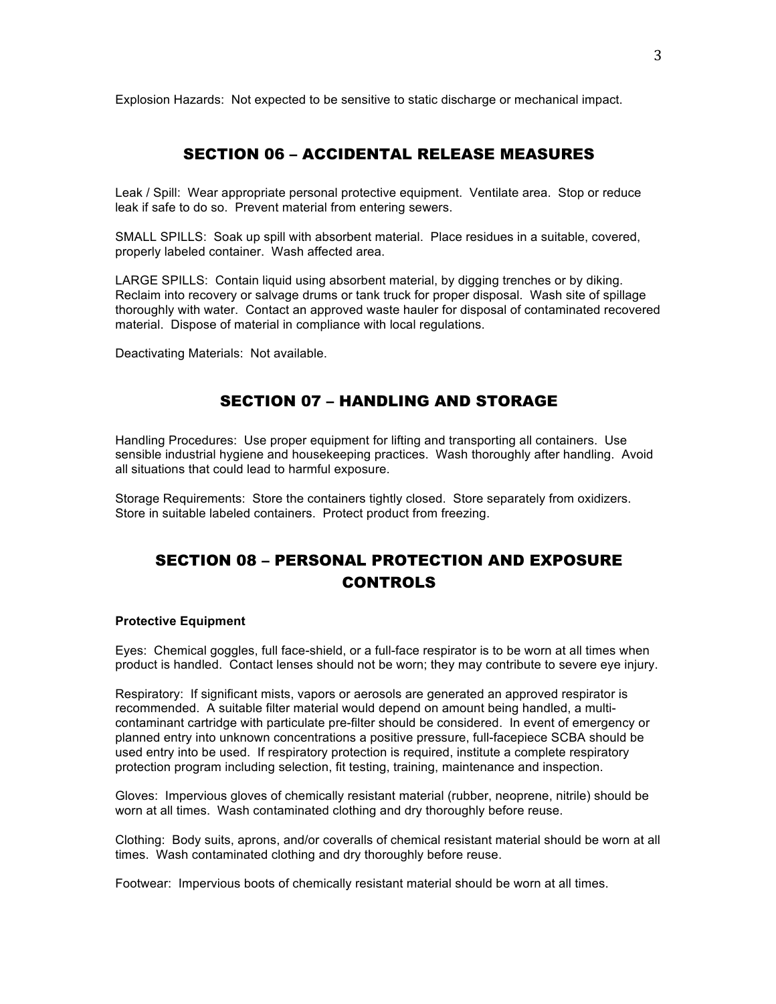Explosion Hazards: Not expected to be sensitive to static discharge or mechanical impact.

## SECTION 06 – ACCIDENTAL RELEASE MEASURES

Leak / Spill: Wear appropriate personal protective equipment. Ventilate area. Stop or reduce leak if safe to do so. Prevent material from entering sewers.

SMALL SPILLS: Soak up spill with absorbent material. Place residues in a suitable, covered, properly labeled container. Wash affected area.

LARGE SPILLS: Contain liquid using absorbent material, by digging trenches or by diking. Reclaim into recovery or salvage drums or tank truck for proper disposal. Wash site of spillage thoroughly with water. Contact an approved waste hauler for disposal of contaminated recovered material. Dispose of material in compliance with local regulations.

Deactivating Materials: Not available.

#### SECTION 07 – HANDLING AND STORAGE

Handling Procedures: Use proper equipment for lifting and transporting all containers. Use sensible industrial hygiene and housekeeping practices. Wash thoroughly after handling. Avoid all situations that could lead to harmful exposure.

Storage Requirements: Store the containers tightly closed. Store separately from oxidizers. Store in suitable labeled containers. Protect product from freezing.

## SECTION 08 – PERSONAL PROTECTION AND EXPOSURE **CONTROLS**

#### **Protective Equipment**

Eyes: Chemical goggles, full face-shield, or a full-face respirator is to be worn at all times when product is handled. Contact lenses should not be worn; they may contribute to severe eye injury.

Respiratory: If significant mists, vapors or aerosols are generated an approved respirator is recommended. A suitable filter material would depend on amount being handled, a multicontaminant cartridge with particulate pre-filter should be considered. In event of emergency or planned entry into unknown concentrations a positive pressure, full-facepiece SCBA should be used entry into be used. If respiratory protection is required, institute a complete respiratory protection program including selection, fit testing, training, maintenance and inspection.

Gloves: Impervious gloves of chemically resistant material (rubber, neoprene, nitrile) should be worn at all times. Wash contaminated clothing and dry thoroughly before reuse.

Clothing: Body suits, aprons, and/or coveralls of chemical resistant material should be worn at all times. Wash contaminated clothing and dry thoroughly before reuse.

Footwear: Impervious boots of chemically resistant material should be worn at all times.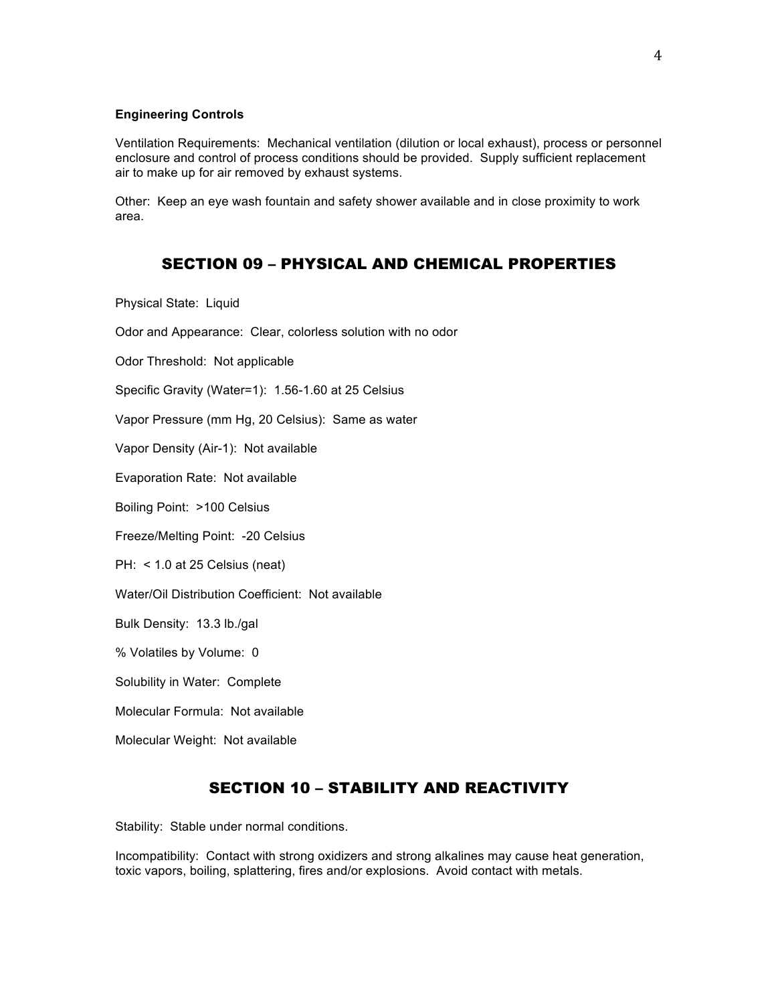#### **Engineering Controls**

Ventilation Requirements: Mechanical ventilation (dilution or local exhaust), process or personnel enclosure and control of process conditions should be provided. Supply sufficient replacement air to make up for air removed by exhaust systems.

Other: Keep an eye wash fountain and safety shower available and in close proximity to work area.

#### SECTION 09 – PHYSICAL AND CHEMICAL PROPERTIES

Physical State: Liquid

Odor and Appearance: Clear, colorless solution with no odor

Odor Threshold: Not applicable

Specific Gravity (Water=1): 1.56-1.60 at 25 Celsius

Vapor Pressure (mm Hg, 20 Celsius): Same as water

Vapor Density (Air-1): Not available

Evaporation Rate: Not available

Boiling Point: >100 Celsius

Freeze/Melting Point: -20 Celsius

PH: < 1.0 at 25 Celsius (neat)

Water/Oil Distribution Coefficient: Not available

Bulk Density: 13.3 lb./gal

% Volatiles by Volume: 0

Solubility in Water: Complete

Molecular Formula: Not available

Molecular Weight: Not available

## SECTION 10 – STABILITY AND REACTIVITY

Stability: Stable under normal conditions.

Incompatibility: Contact with strong oxidizers and strong alkalines may cause heat generation, toxic vapors, boiling, splattering, fires and/or explosions. Avoid contact with metals.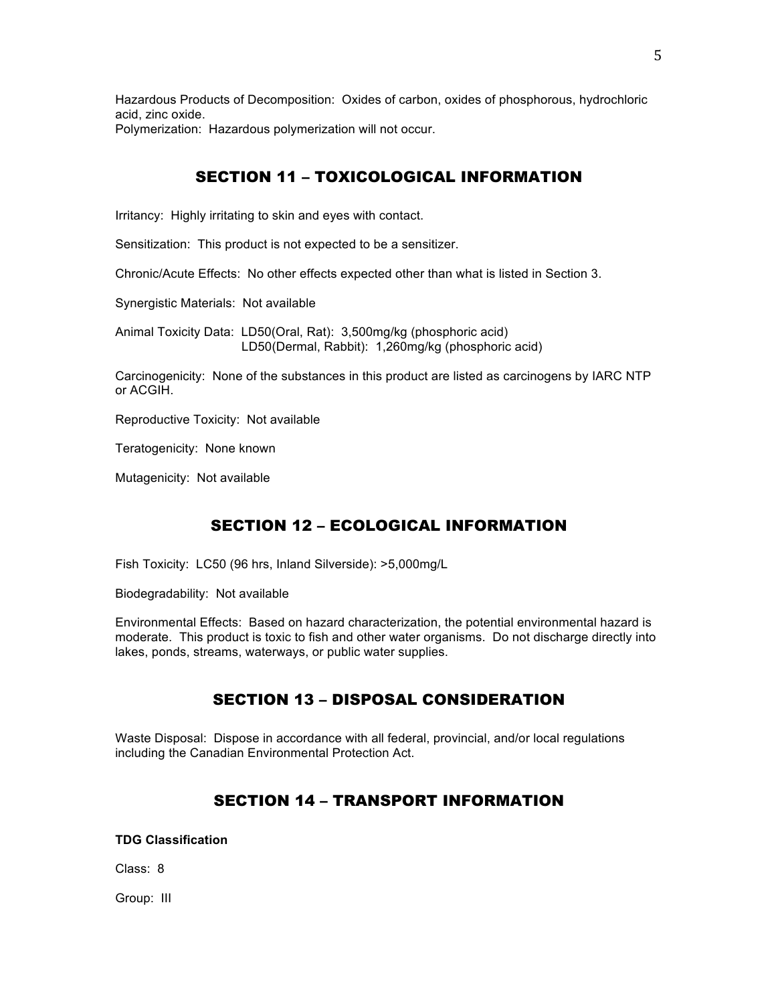Hazardous Products of Decomposition: Oxides of carbon, oxides of phosphorous, hydrochloric acid, zinc oxide.

Polymerization: Hazardous polymerization will not occur.

# SECTION 11 – TOXICOLOGICAL INFORMATION

Irritancy: Highly irritating to skin and eyes with contact.

Sensitization: This product is not expected to be a sensitizer.

Chronic/Acute Effects: No other effects expected other than what is listed in Section 3.

Synergistic Materials: Not available

Animal Toxicity Data: LD50(Oral, Rat): 3,500mg/kg (phosphoric acid) LD50(Dermal, Rabbit): 1,260mg/kg (phosphoric acid)

Carcinogenicity: None of the substances in this product are listed as carcinogens by IARC NTP or ACGIH.

Reproductive Toxicity: Not available

Teratogenicity: None known

Mutagenicity: Not available

# SECTION 12 – ECOLOGICAL INFORMATION

Fish Toxicity: LC50 (96 hrs, Inland Silverside): >5,000mg/L

Biodegradability: Not available

Environmental Effects: Based on hazard characterization, the potential environmental hazard is moderate. This product is toxic to fish and other water organisms. Do not discharge directly into lakes, ponds, streams, waterways, or public water supplies.

# SECTION 13 – DISPOSAL CONSIDERATION

Waste Disposal: Dispose in accordance with all federal, provincial, and/or local regulations including the Canadian Environmental Protection Act.

# SECTION 14 – TRANSPORT INFORMATION

#### **TDG Classification**

Class: 8

Group: III